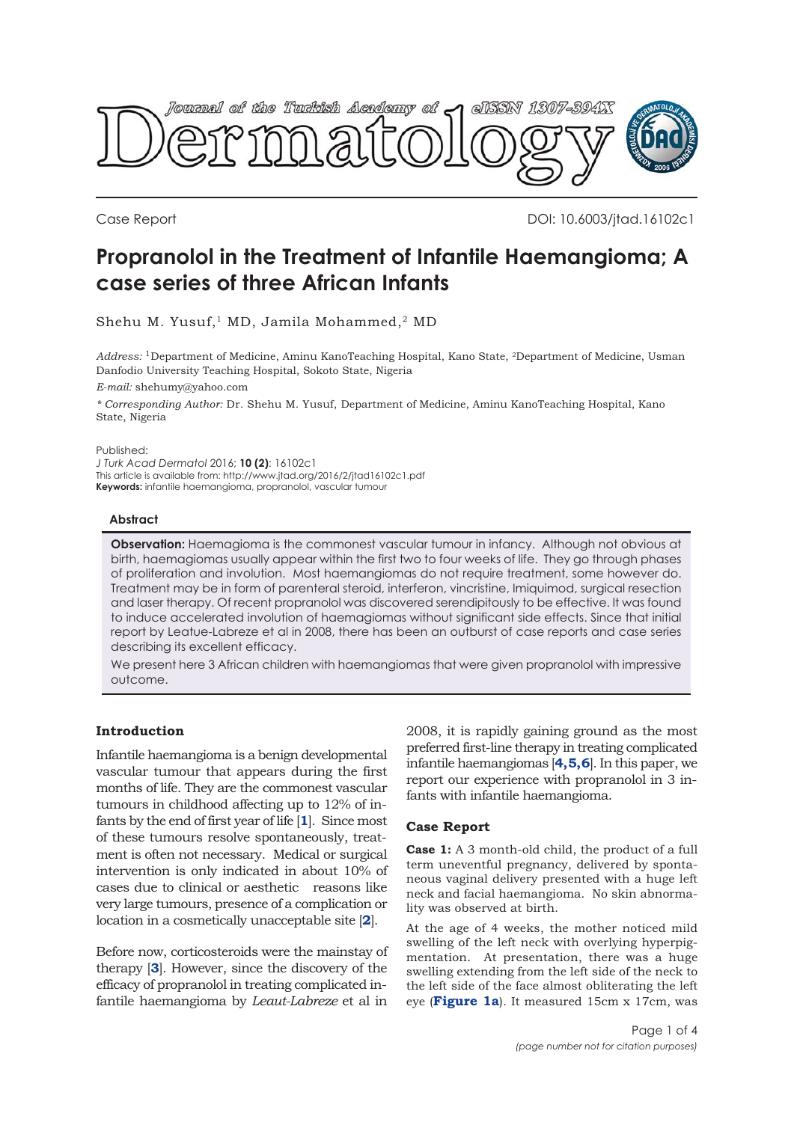

Case Report DOI: 10.6003/jtad.16102c1

# **Propranolol in the Treatment of Infantile Haemangioma; A case series of three African Infants**

Shehu M. Yusuf,<sup>1</sup> MD, Jamila Mohammed,<sup>2</sup> MD

*Address:* 1Department of Medicine, Aminu KanoTeaching Hospital, Kano State, 2Department of Medicine, Usman Danfodio University Teaching Hospital, Sokoto State, Nigeria

*E-mail:* shehumy@yahoo.com

*\* Corresponding Author:* Dr. Shehu M. Yusuf, Department of Medicine, Aminu KanoTeaching Hospital, Kano State, Nigeria

Published:

*J Turk Acad Dermatol* 2016; **10 (2)**: 16102c1 This article is available from: http://www.jtad.org/2016/2/jtad16102c1.pdf **Keywords:** infantile haemangioma, propranolol, vascular tumour

## **Abstract**

**Observation:** Haemagioma is the commonest vascular tumour in infancy. Although not obvious at birth, haemagiomas usually appear within the first two to four weeks of life. They go through phases of proliferation and involution. Most haemangiomas do not require treatment, some however do. Treatment may be in form of parenteral steroid, interferon, vincristine, Imiquimod, surgical resection and laser therapy. Of recent propranolol was discovered serendipitously to be effective. It was found to induce accelerated involution of haemagiomas without significant side effects. Since that initial report by Leatue-Labreze et al in 2008, there has been an outburst of case reports and case series describing its excellent efficacy.

We present here 3 African children with haemangiomas that were given propranolol with impressive outcome.

# **Introduction**

Infantile haemangioma is a benign developmental vascular tumour that appears during the first months of life. They are the commonest vascular tumours in childhood affecting up to 12% of infants by the end of first year of life [**[1](#page-3-0)**]. Since most of these tumours resolve spontaneously, treatment is often not necessary. Medical or surgical intervention is only indicated in about 10% of cases due to clinical or aesthetic reasons like very large tumours, presence of a complication or location in a cosmetically unacceptable site [**[2](#page-3-0)**].

Before now, corticosteroids were the mainstay of therapy [**[3](#page-3-0)**]. However, since the discovery of the efficacy of propranolol in treating complicated infantile haemangioma by *Leaut-Labreze* et al in

2008, it is rapidly gaining ground as the most preferred first-line therapy in treating complicated infantile haemangiomas [**[4, 5, 6](#page-3-0)**]. In this paper, we report our experience with propranolol in 3 infants with infantile haemangioma.

# **Case Report**

**Case 1:** A 3 month-old child, the product of a full term uneventful pregnancy, delivered by spontaneous vaginal delivery presented with a huge left neck and facial haemangioma. No skin abnormality was observed at birth.

At the age of 4 weeks, the mother noticed mild swelling of the left neck with overlying hyperpigmentation. At presentation, there was a huge swelling extending from the left side of the neck to the left side of the face almost obliterating the left eye (**[Figure 1a](#page-1-0)**). It measured 15cm x 17cm, was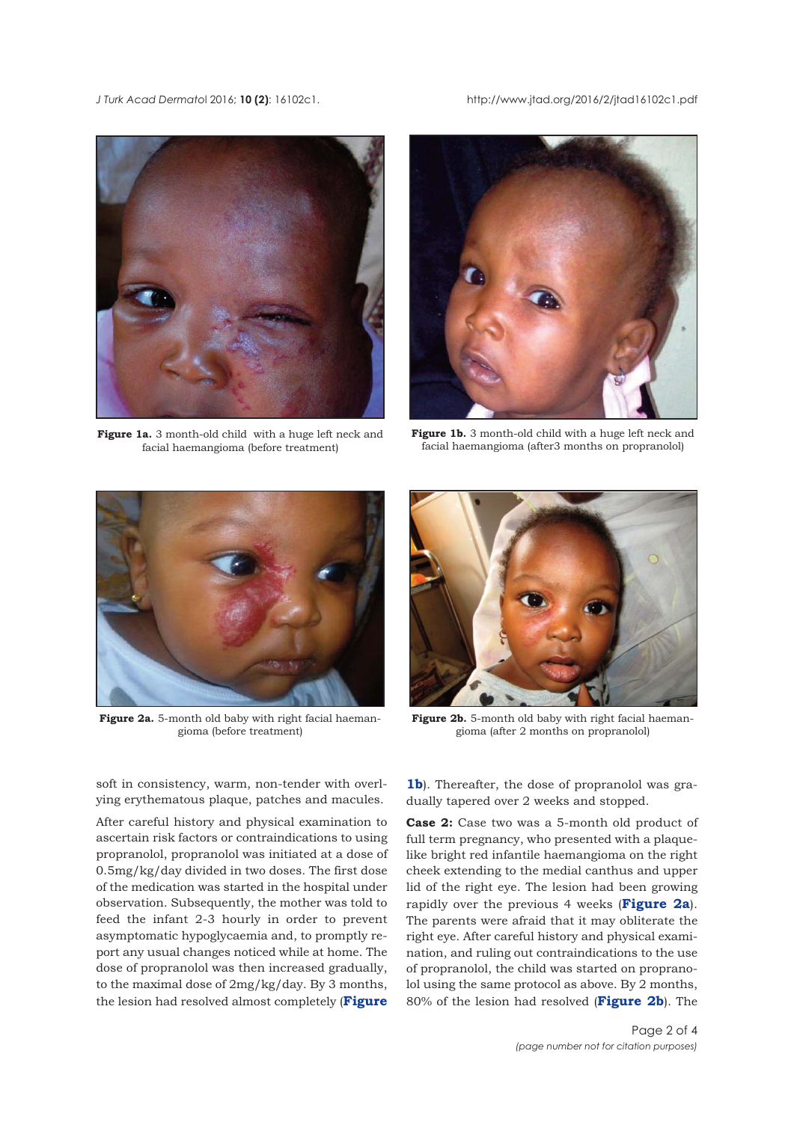#### <span id="page-1-0"></span>*J Turk Acad Dermato*l 2016; **10 (2)**: 16102c1. http://www.jtad.org/2016/2/jtad16102c1.pdf



**Figure 1a.** 3 month-old child with a huge left neck and facial haemangioma (before treatment)



**Figure 1b.** 3 month-old child with a huge left neck and facial haemangioma (after3 months on propranolol)



**Figure 2a.** 5-month old baby with right facial haemangioma (before treatment)



**Figure 2b.** 5-month old baby with right facial haemangioma (after 2 months on propranolol)

soft in consistency, warm, non-tender with overlying erythematous plaque, patches and macules.

After careful history and physical examination to ascertain risk factors or contraindications to using propranolol, propranolol was initiated at a dose of 0.5mg/kg/day divided in two doses. The first dose of the medication was started in the hospital under observation. Subsequently, the mother was told to feed the infant 2-3 hourly in order to prevent asymptomatic hypoglycaemia and, to promptly report any usual changes noticed while at home. The dose of propranolol was then increased gradually, to the maximal dose of 2mg/kg/day. By 3 months, the lesion had resolved almost completely (**Figure**

**1b**). Thereafter, the dose of propranolol was gradually tapered over 2 weeks and stopped.

**Case 2:** Case two was a 5-month old product of full term pregnancy, who presented with a plaquelike bright red infantile haemangioma on the right cheek extending to the medial canthus and upper lid of the right eye. The lesion had been growing rapidly over the previous 4 weeks (**Figure 2a**). The parents were afraid that it may obliterate the right eye. After careful history and physical examination, and ruling out contraindications to the use of propranolol, the child was started on propranolol using the same protocol as above. By 2 months, 80% of the lesion had resolved (**Figure 2b**). The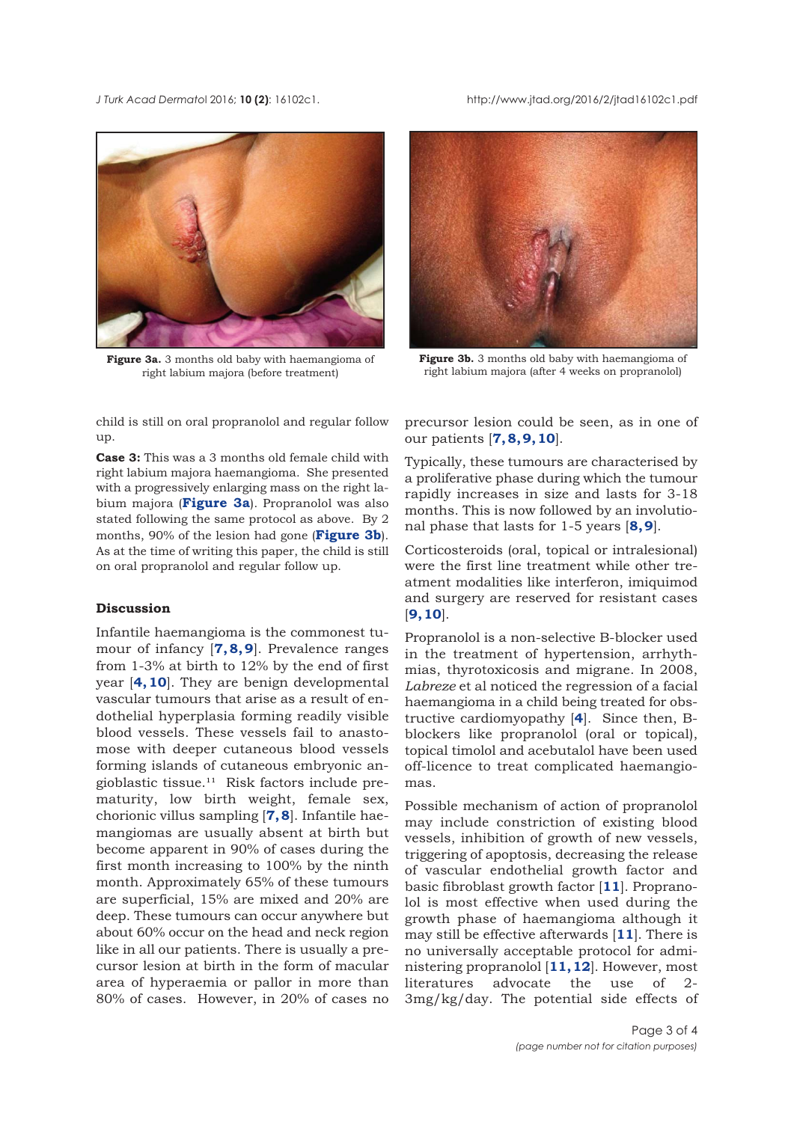*J Turk Acad Dermato*l 2016; **10 (2)**: 16102c1. http://www.jtad.org/2016/2/jtad16102c1.pdf



**Figure 3a.** 3 months old baby with haemangioma of right labium majora (before treatment)

child is still on oral propranolol and regular follow  $\overline{\mathbf{u}}$ 

**Case 3:** This was a 3 months old female child with right labium majora haemangioma. She presented with a progressively enlarging mass on the right labium majora (**Figure 3a**). Propranolol was also stated following the same protocol as above. By 2 months, 90% of the lesion had gone (**Figure 3b**). As at the time of writing this paper, the child is still on oral propranolol and regular follow up.

# **Discussion**

Infantile haemangioma is the commonest tumour of infancy [**[7](#page-3-0), [8, 9](#page-3-0)**]. Prevalence ranges from 1-3% at birth to 12% by the end of first year [**[4, 10](#page-3-0)**]. They are benign developmental vascular tumours that arise as a result of endothelial hyperplasia forming readily visible blood vessels. These vessels fail to anastomose with deeper cutaneous blood vessels forming islands of cutaneous embryonic angioblastic tissue. $^{11}$  Risk factors include prematurity, low birth weight, female sex, chorionic villus sampling [**[7, 8](#page-3-0)**]. Infantile haemangiomas are usually absent at birth but become apparent in 90% of cases during the first month increasing to 100% by the ninth month. Approximately 65% of these tumours are superficial, 15% are mixed and 20% are deep. These tumours can occur anywhere but about 60% occur on the head and neck region like in all our patients. There is usually a precursor lesion at birth in the form of macular area of hyperaemia or pallor in more than 80% of cases. However, in 20% of cases no



**Figure 3b.** 3 months old baby with haemangioma of right labium majora (after 4 weeks on propranolol)

precursor lesion could be seen, as in one of our patients [**[7](#page-3-0), [8](#page-3-0), [9, 10](#page-3-0)**].

Typically, these tumours are characterised by a proliferative phase during which the tumour rapidly increases in size and lasts for 3-18 months. This is now followed by an involutional phase that lasts for 1-5 years [**[8, 9](#page-3-0)**].

Corticosteroids (oral, topical or intralesional) were the first line treatment while other treatment modalities like interferon, imiquimod and surgery are reserved for resistant cases [**[9, 10](#page-3-0)**].

Propranolol is a non-selective B-blocker used in the treatment of hypertension, arrhythmias, thyrotoxicosis and migrane. In 2008, *Labreze* et al noticed the regression of a facial haemangioma in a child being treated for obstructive cardiomyopathy [**[4](#page-3-0)**]. Since then, Bblockers like propranolol (oral or topical), topical timolol and acebutalol have been used off-licence to treat complicated haemangiomas.

Possible mechanism of action of propranolol may include constriction of existing blood vessels, inhibition of growth of new vessels, triggering of apoptosis, decreasing the release of vascular endothelial growth factor and basic fibroblast growth factor [**[11](#page-3-0)**]. Propranolol is most effective when used during the growth phase of haemangioma although it may still be effective afterwards [**[11](#page-3-0)**]. There is no universally acceptable protocol for administering propranolol [**[11, 12](#page-3-0)**]. However, most literatures advocate the use of 2- 3mg/kg/day. The potential side effects of